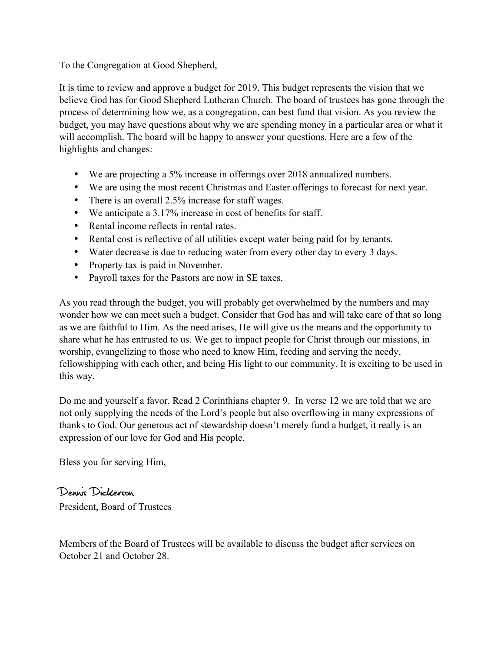To the Congregation at Good Shepherd,

It is time to review and approve a budget for 2019. This budget represents the vision that we believe God has for Good Shepherd Lutheran Church. The board of trustees has gone through the process of determining how we, as a congregation, can best fund that vision. As you review the budget, you may have questions about why we are spending money in a particular area or what it will accomplish. The board will be happy to answer your questions. Here are a few of the highlights and changes:

- We are projecting a 5% increase in offerings over 2018 annualized numbers.
- We are using the most recent Christmas and Easter offerings to forecast for next year.
- There is an overall 2.5% increase for staff wages.
- We anticipate a 3.17% increase in cost of benefits for staff.
- Rental income reflects in rental rates.
- Rental cost is reflective of all utilities except water being paid for by tenants.
- Water decrease is due to reducing water from every other day to every 3 days.
- Property tax is paid in November.
- Payroll taxes for the Pastors are now in SE taxes.

As you read through the budget, you will probably get overwhelmed by the numbers and may wonder how we can meet such a budget. Consider that God has and will take care of that so long as we are faithful to Him. As the need arises, He will give us the means and the opportunity to share what he has entrusted to us. We get to impact people for Christ through our missions, in worship, evangelizing to those who need to know Him, feeding and serving the needy, fellowshipping with each other, and being His light to our community. It is exciting to be used in this way.

Do me and yourself a favor. Read 2 Corinthians chapter 9. In verse 12 we are told that we are not only supplying the needs of the Lord's people but also overflowing in many expressions of thanks to God. Our generous act of stewardship doesn't merely fund a budget, it really is an expression of our love for God and His people.

Bless you for serving Him,

Dennis Dickerson President, Board of Trustees

Members of the Board of Trustees will be available to discuss the budget after services on October 21 and October 28.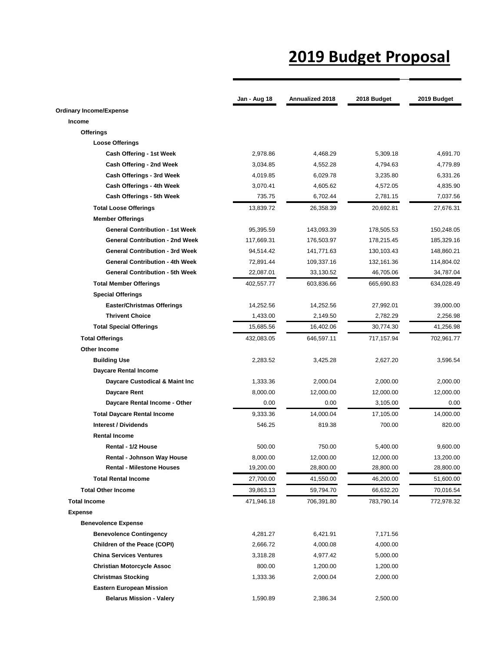## **2019 Budget Proposal**

|                                        | Jan - Aug 18 | Annualized 2018 | 2018 Budget | 2019 Budget |
|----------------------------------------|--------------|-----------------|-------------|-------------|
| <b>Ordinary Income/Expense</b>         |              |                 |             |             |
| Income                                 |              |                 |             |             |
| <b>Offerings</b>                       |              |                 |             |             |
| <b>Loose Offerings</b>                 |              |                 |             |             |
| Cash Offering - 1st Week               | 2,978.86     | 4,468.29        | 5,309.18    | 4,691.70    |
| Cash Offering - 2nd Week               | 3,034.85     | 4,552.28        | 4,794.63    | 4,779.89    |
| Cash Offerings - 3rd Week              | 4,019.85     | 6,029.78        | 3,235.80    | 6,331.26    |
| Cash Offerings - 4th Week              | 3,070.41     | 4,605.62        | 4,572.05    | 4,835.90    |
| Cash Offerings - 5th Week              | 735.75       | 6,702.44        | 2,781.15    | 7,037.56    |
| <b>Total Loose Offerings</b>           | 13,839.72    | 26,358.39       | 20,692.81   | 27,676.31   |
| <b>Member Offerings</b>                |              |                 |             |             |
| <b>General Contribution - 1st Week</b> | 95,395.59    | 143,093.39      | 178,505.53  | 150,248.05  |
| <b>General Contribution - 2nd Week</b> | 117,669.31   | 176,503.97      | 178,215.45  | 185,329.16  |
| <b>General Contribution - 3rd Week</b> | 94,514.42    | 141,771.63      | 130,103.43  | 148,860.21  |
| <b>General Contribution - 4th Week</b> | 72,891.44    | 109,337.16      | 132,161.36  | 114,804.02  |
| <b>General Contribution - 5th Week</b> | 22,087.01    | 33,130.52       | 46,705.06   | 34,787.04   |
| <b>Total Member Offerings</b>          | 402,557.77   | 603,836.66      | 665,690.83  | 634,028.49  |
| <b>Special Offerings</b>               |              |                 |             |             |
| <b>Easter/Christmas Offerings</b>      | 14,252.56    | 14,252.56       | 27,992.01   | 39,000.00   |
| <b>Thrivent Choice</b>                 | 1,433.00     | 2,149.50        | 2,782.29    | 2,256.98    |
| <b>Total Special Offerings</b>         | 15,685.56    | 16,402.06       | 30,774.30   | 41,256.98   |
| <b>Total Offerings</b>                 | 432,083.05   | 646,597.11      | 717,157.94  | 702,961.77  |
| Other Income                           |              |                 |             |             |
| <b>Building Use</b>                    | 2,283.52     | 3,425.28        | 2,627.20    | 3,596.54    |
| <b>Daycare Rental Income</b>           |              |                 |             |             |
| Daycare Custodical & Maint Inc         | 1,333.36     | 2,000.04        | 2,000.00    | 2,000.00    |
| Daycare Rent                           | 8,000.00     | 12,000.00       | 12,000.00   | 12,000.00   |
| Daycare Rental Income - Other          | 0.00         | 0.00            | 3,105.00    | 0.00        |
| <b>Total Daycare Rental Income</b>     | 9,333.36     | 14,000.04       | 17,105.00   | 14,000.00   |
| <b>Interest / Dividends</b>            | 546.25       | 819.38          | 700.00      | 820.00      |
| <b>Rental Income</b>                   |              |                 |             |             |
| Rental - 1/2 House                     | 500.00       | 750.00          | 5,400.00    | 9,600.00    |
| Rental - Johnson Way House             | 8,000.00     | 12,000.00       | 12,000.00   | 13,200.00   |
| <b>Rental - Milestone Houses</b>       | 19,200.00    | 28,800.00       | 28,800.00   | 28,800.00   |
| <b>Total Rental Income</b>             | 27,700.00    | 41,550.00       | 46,200.00   | 51,600.00   |
| <b>Total Other Income</b>              | 39,863.13    | 59,794.70       | 66,632.20   | 70,016.54   |
| <b>Total Income</b>                    | 471,946.18   | 706,391.80      | 783,790.14  | 772,978.32  |
| <b>Expense</b>                         |              |                 |             |             |
| <b>Benevolence Expense</b>             |              |                 |             |             |
| <b>Benevolence Contingency</b>         | 4,281.27     | 6,421.91        | 7,171.56    |             |
| Children of the Peace (COPI)           | 2,666.72     | 4,000.08        | 4,000.00    |             |
| <b>China Services Ventures</b>         | 3,318.28     | 4,977.42        | 5,000.00    |             |
| <b>Christian Motorcycle Assoc</b>      | 800.00       | 1,200.00        | 1,200.00    |             |
| <b>Christmas Stocking</b>              | 1,333.36     | 2,000.04        | 2,000.00    |             |
| <b>Eastern European Mission</b>        |              |                 |             |             |
| <b>Belarus Mission - Valery</b>        | 1,590.89     | 2,386.34        | 2,500.00    |             |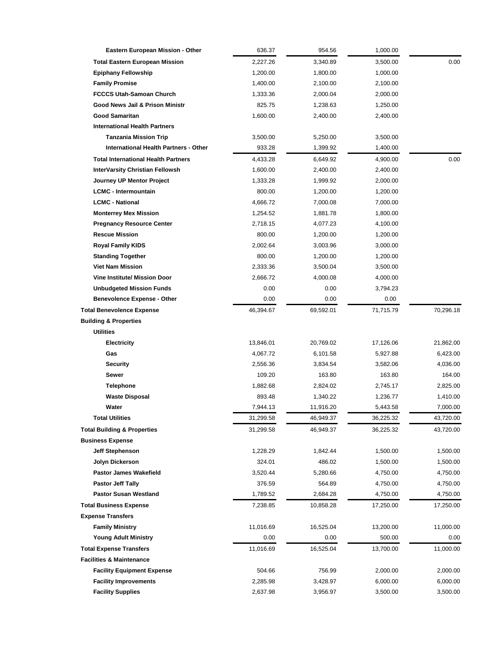| Eastern European Mission - Other             | 636.37    | 954.56    | 1,000.00  |           |
|----------------------------------------------|-----------|-----------|-----------|-----------|
| <b>Total Eastern European Mission</b>        | 2,227.26  | 3,340.89  | 3,500.00  | 0.00      |
| <b>Epiphany Fellowship</b>                   | 1,200.00  | 1,800.00  | 1,000.00  |           |
| <b>Family Promise</b>                        | 1,400.00  | 2,100.00  | 2,100.00  |           |
| <b>FCCCS Utah-Samoan Church</b>              | 1,333.36  | 2,000.04  | 2,000.00  |           |
| Good News Jail & Prison Ministr              | 825.75    | 1,238.63  | 1,250.00  |           |
| <b>Good Samaritan</b>                        | 1,600.00  | 2,400.00  | 2,400.00  |           |
| <b>International Health Partners</b>         |           |           |           |           |
| <b>Tanzania Mission Trip</b>                 | 3,500.00  | 5,250.00  | 3,500.00  |           |
| <b>International Health Partners - Other</b> | 933.28    | 1,399.92  | 1,400.00  |           |
| <b>Total International Health Partners</b>   | 4,433.28  | 6,649.92  | 4,900.00  | 0.00      |
| <b>InterVarsity Christian Fellowsh</b>       | 1,600.00  | 2,400.00  | 2,400.00  |           |
| Journey UP Mentor Project                    | 1,333.28  | 1,999.92  | 2,000.00  |           |
| <b>LCMC - Intermountain</b>                  | 800.00    | 1,200.00  | 1,200.00  |           |
| <b>LCMC - National</b>                       | 4,666.72  | 7,000.08  | 7,000.00  |           |
| <b>Monterrey Mex Mission</b>                 | 1,254.52  | 1,881.78  | 1,800.00  |           |
| <b>Pregnancy Resource Center</b>             | 2,718.15  | 4,077.23  | 4,100.00  |           |
| <b>Rescue Mission</b>                        | 800.00    | 1,200.00  | 1,200.00  |           |
| <b>Royal Family KIDS</b>                     | 2,002.64  | 3,003.96  | 3,000.00  |           |
| <b>Standing Together</b>                     | 800.00    | 1,200.00  | 1,200.00  |           |
| <b>Viet Nam Mission</b>                      | 2,333.36  | 3,500.04  | 3,500.00  |           |
| <b>Vine Institute/ Mission Door</b>          | 2,666.72  | 4,000.08  | 4,000.00  |           |
| <b>Unbudgeted Mission Funds</b>              | 0.00      | 0.00      | 3,794.23  |           |
| <b>Benevolence Expense - Other</b>           | 0.00      | 0.00      | 0.00      |           |
| <b>Total Benevolence Expense</b>             | 46,394.67 | 69,592.01 | 71,715.79 | 70,296.18 |
| <b>Building &amp; Properties</b>             |           |           |           |           |
| <b>Utilities</b>                             |           |           |           |           |
| <b>Electricity</b>                           | 13,846.01 | 20,769.02 | 17,126.06 | 21,862.00 |
| Gas                                          | 4,067.72  | 6,101.58  | 5,927.88  | 6,423.00  |
| <b>Security</b>                              | 2,556.36  | 3,834.54  | 3,582.06  | 4,036.00  |
| Sewer                                        | 109.20    | 163.80    | 163.80    | 164.00    |
| <b>Telephone</b>                             | 1,882.68  | 2,824.02  | 2,745.17  | 2,825.00  |
| <b>Waste Disposal</b>                        | 893.48    | 1,340.22  | 1,236.77  | 1,410.00  |
| Water                                        | 7,944.13  | 11,916.20 | 5,443.58  | 7,000.00  |
| Total Utilities                              | 31,299.58 | 46,949.37 | 36,225.32 | 43,720.00 |
| <b>Total Building &amp; Properties</b>       | 31,299.58 | 46,949.37 | 36,225.32 | 43,720.00 |
| <b>Business Expense</b>                      |           |           |           |           |
| <b>Jeff Stephenson</b>                       | 1,228.29  | 1,842.44  | 1,500.00  | 1,500.00  |
| Jolyn Dickerson                              | 324.01    | 486.02    | 1,500.00  | 1,500.00  |
| Pastor James Wakefield                       | 3,520.44  | 5,280.66  | 4,750.00  | 4,750.00  |
| <b>Pastor Jeff Tally</b>                     | 376.59    | 564.89    | 4,750.00  | 4,750.00  |
| <b>Pastor Susan Westland</b>                 | 1,789.52  | 2,684.28  | 4,750.00  | 4,750.00  |
| <b>Total Business Expense</b>                | 7,238.85  | 10,858.28 | 17,250.00 | 17,250.00 |
| <b>Expense Transfers</b>                     |           |           |           |           |
| <b>Family Ministry</b>                       | 11,016.69 | 16,525.04 | 13,200.00 | 11,000.00 |
| <b>Young Adult Ministry</b>                  | 0.00      | 0.00      | 500.00    | 0.00      |
| <b>Total Expense Transfers</b>               | 11,016.69 | 16,525.04 | 13,700.00 | 11,000.00 |
| <b>Facilities &amp; Maintenance</b>          |           |           |           |           |
| <b>Facility Equipment Expense</b>            | 504.66    | 756.99    | 2,000.00  | 2,000.00  |
| <b>Facility Improvements</b>                 | 2,285.98  | 3,428.97  | 6,000.00  | 6,000.00  |
| <b>Facility Supplies</b>                     | 2,637.98  | 3,956.97  | 3,500.00  | 3,500.00  |
|                                              |           |           |           |           |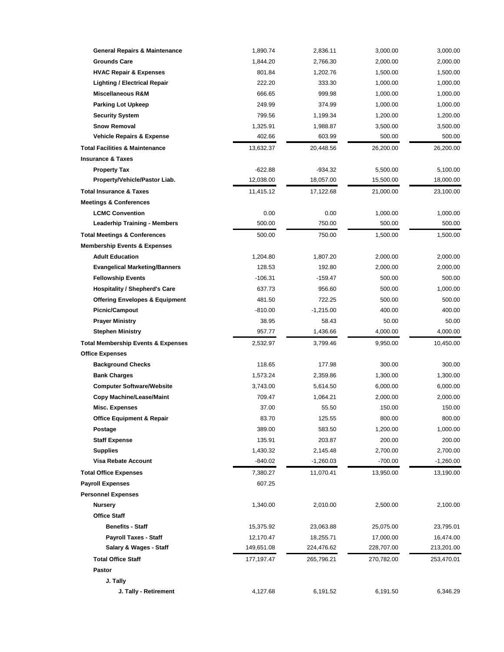| <b>General Repairs &amp; Maintenance</b>      | 1,890.74   | 2,836.11    | 3,000.00   | 3,000.00    |
|-----------------------------------------------|------------|-------------|------------|-------------|
| <b>Grounds Care</b>                           | 1,844.20   | 2,766.30    | 2,000.00   | 2,000.00    |
| <b>HVAC Repair &amp; Expenses</b>             | 801.84     | 1,202.76    | 1,500.00   | 1,500.00    |
| <b>Lighting / Electrical Repair</b>           | 222.20     | 333.30      | 1,000.00   | 1,000.00    |
| <b>Miscellaneous R&amp;M</b>                  | 666.65     | 999.98      | 1,000.00   | 1,000.00    |
| <b>Parking Lot Upkeep</b>                     | 249.99     | 374.99      | 1,000.00   | 1,000.00    |
| <b>Security System</b>                        | 799.56     | 1,199.34    | 1,200.00   | 1,200.00    |
| <b>Snow Removal</b>                           | 1,325.91   | 1,988.87    | 3,500.00   | 3,500.00    |
| <b>Vehicle Repairs &amp; Expense</b>          | 402.66     | 603.99      | 500.00     | 500.00      |
| <b>Total Facilities &amp; Maintenance</b>     | 13,632.37  | 20,448.56   | 26,200.00  | 26,200.00   |
| <b>Insurance &amp; Taxes</b>                  |            |             |            |             |
| <b>Property Tax</b>                           | $-622.88$  | $-934.32$   | 5,500.00   | 5,100.00    |
| Property/Vehicle/Pastor Liab.                 | 12,038.00  | 18,057.00   | 15,500.00  | 18,000.00   |
| <b>Total Insurance &amp; Taxes</b>            | 11,415.12  | 17,122.68   | 21,000.00  | 23,100.00   |
| <b>Meetings &amp; Conferences</b>             |            |             |            |             |
| <b>LCMC Convention</b>                        | 0.00       | 0.00        | 1,000.00   | 1,000.00    |
| <b>Leaderhip Training - Members</b>           | 500.00     | 750.00      | 500.00     | 500.00      |
| <b>Total Meetings &amp; Conferences</b>       | 500.00     | 750.00      | 1,500.00   | 1,500.00    |
| <b>Membership Events &amp; Expenses</b>       |            |             |            |             |
| <b>Adult Education</b>                        | 1,204.80   | 1,807.20    | 2,000.00   | 2,000.00    |
| <b>Evangelical Marketing/Banners</b>          | 128.53     | 192.80      | 2,000.00   | 2,000.00    |
| <b>Fellowship Events</b>                      | $-106.31$  | $-159.47$   | 500.00     | 500.00      |
| <b>Hospitality / Shepherd's Care</b>          | 637.73     | 956.60      | 500.00     | 1,000.00    |
| <b>Offering Envelopes &amp; Equipment</b>     | 481.50     | 722.25      | 500.00     | 500.00      |
| <b>Picnic/Campout</b>                         | $-810.00$  | $-1,215.00$ | 400.00     | 400.00      |
| <b>Prayer Ministry</b>                        | 38.95      | 58.43       | 50.00      | 50.00       |
| <b>Stephen Ministry</b>                       | 957.77     | 1,436.66    | 4,000.00   | 4,000.00    |
| <b>Total Membership Events &amp; Expenses</b> | 2,532.97   | 3,799.46    | 9,950.00   | 10,450.00   |
| <b>Office Expenses</b>                        |            |             |            |             |
| <b>Background Checks</b>                      | 118.65     | 177.98      | 300.00     | 300.00      |
| <b>Bank Charges</b>                           | 1,573.24   | 2,359.86    | 1,300.00   | 1,300.00    |
| <b>Computer Software/Website</b>              | 3,743.00   | 5,614.50    | 6,000.00   | 6,000.00    |
| <b>Copy Machine/Lease/Maint</b>               | 709.47     | 1,064.21    | 2,000.00   | 2,000.00    |
| <b>Misc. Expenses</b>                         | 37.00      | 55.50       | 150.00     | 150.00      |
| <b>Office Equipment &amp; Repair</b>          | 83.70      | 125.55      | 800.00     | 800.00      |
| Postage                                       | 389.00     | 583.50      | 1,200.00   | 1,000.00    |
| <b>Staff Expense</b>                          | 135.91     | 203.87      | 200.00     | 200.00      |
| <b>Supplies</b>                               | 1,430.32   | 2,145.48    | 2,700.00   | 2,700.00    |
| Visa Rebate Account                           | $-840.02$  | $-1,260.03$ | $-700.00$  | $-1,260.00$ |
| <b>Total Office Expenses</b>                  | 7,380.27   | 11,070.41   | 13,950.00  | 13,190.00   |
| <b>Payroll Expenses</b>                       | 607.25     |             |            |             |
| <b>Personnel Expenses</b>                     |            |             |            |             |
| <b>Nursery</b>                                | 1,340.00   | 2,010.00    | 2,500.00   | 2,100.00    |
| <b>Office Staff</b>                           |            |             |            |             |
| <b>Benefits - Staff</b>                       | 15,375.92  | 23,063.88   | 25,075.00  | 23,795.01   |
| Payroll Taxes - Staff                         | 12,170.47  | 18,255.71   | 17,000.00  | 16,474.00   |
| Salary & Wages - Staff                        | 149,651.08 | 224,476.62  | 228,707.00 | 213,201.00  |
| <b>Total Office Staff</b>                     | 177,197.47 | 265,796.21  | 270,782.00 | 253,470.01  |
| <b>Pastor</b>                                 |            |             |            |             |
| J. Tally                                      |            |             |            |             |
| J. Tally - Retirement                         | 4,127.68   | 6,191.52    | 6,191.50   | 6,346.29    |
|                                               |            |             |            |             |